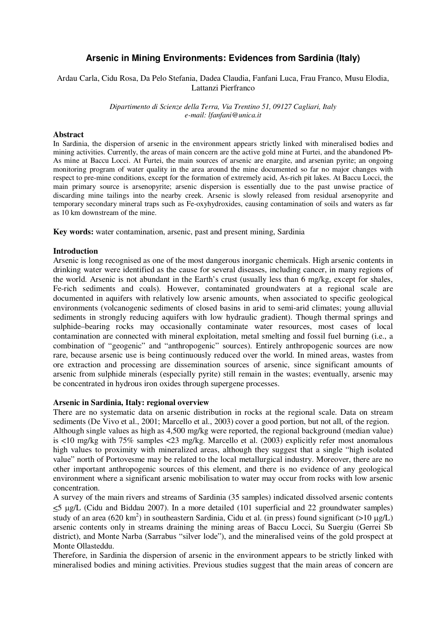# **Arsenic in Mining Environments: Evidences from Sardinia (Italy)**

# Ardau Carla, Cidu Rosa, Da Pelo Stefania, Dadea Claudia, Fanfani Luca, Frau Franco, Musu Elodia, Lattanzi Pierfranco

*Dipartimento di Scienze della Terra, Via Trentino 51, 09127 Cagliari, Italy e-mail: lfanfani@unica.it* 

#### **Abstract**

In Sardinia, the dispersion of arsenic in the environment appears strictly linked with mineralised bodies and mining activities. Currently, the areas of main concern are the active gold mine at Furtei, and the abandoned Pb-As mine at Baccu Locci. At Furtei, the main sources of arsenic are enargite, and arsenian pyrite; an ongoing monitoring program of water quality in the area around the mine documented so far no major changes with respect to pre-mine conditions, except for the formation of extremely acid, As-rich pit lakes. At Baccu Locci, the main primary source is arsenopyrite; arsenic dispersion is essentially due to the past unwise practice of discarding mine tailings into the nearby creek. Arsenic is slowly released from residual arsenopyrite and temporary secondary mineral traps such as Fe-oxyhydroxides, causing contamination of soils and waters as far as 10 km downstream of the mine.

**Key words:** water contamination, arsenic, past and present mining, Sardinia

#### **Introduction**

Arsenic is long recognised as one of the most dangerous inorganic chemicals. High arsenic contents in drinking water were identified as the cause for several diseases, including cancer, in many regions of the world. Arsenic is not abundant in the Earth's crust (usually less than 6 mg/kg, except for shales, Fe-rich sediments and coals). However, contaminated groundwaters at a regional scale are documented in aquifers with relatively low arsenic amounts, when associated to specific geological environments (volcanogenic sediments of closed basins in arid to semi-arid climates; young alluvial sediments in strongly reducing aquifers with low hydraulic gradient). Though thermal springs and sulphide–bearing rocks may occasionally contaminate water resources, most cases of local contamination are connected with mineral exploitation, metal smelting and fossil fuel burning (i.e., a combination of "geogenic" and "anthropogenic" sources). Entirely anthropogenic sources are now rare, because arsenic use is being continuously reduced over the world. In mined areas, wastes from ore extraction and processing are dissemination sources of arsenic, since significant amounts of arsenic from sulphide minerals (especially pyrite) still remain in the wastes; eventually, arsenic may be concentrated in hydrous iron oxides through supergene processes.

## **Arsenic in Sardinia, Italy: regional overview**

There are no systematic data on arsenic distribution in rocks at the regional scale. Data on stream sediments (De Vivo et al., 2001; Marcello et al., 2003) cover a good portion, but not all, of the region. Although single values as high as 4,500 mg/kg were reported, the regional background (median value) is  $\lt 10$  mg/kg with 75% samples  $\lt 23$  mg/kg. Marcello et al. (2003) explicitly refer most anomalous high values to proximity with mineralized areas, although they suggest that a single "high isolated value" north of Portovesme may be related to the local metallurgical industry. Moreover, there are no other important anthropogenic sources of this element, and there is no evidence of any geological environment where a significant arsenic mobilisation to water may occur from rocks with low arsenic concentration.

A survey of the main rivers and streams of Sardinia (35 samples) indicated dissolved arsenic contents  $\leq$  5  $\mu$ g/L (Cidu and Biddau 2007). In a more detailed (101 superficial and 22 groundwater samples) study of an area (620 km<sup>2</sup>) in southeastern Sardinia, Cidu et al. (in press) found significant (>10  $\mu$ g/L) arsenic contents only in streams draining the mining areas of Baccu Locci, Su Suergiu (Gerrei Sb district), and Monte Narba (Sarrabus "silver lode"), and the mineralised veins of the gold prospect at Monte Ollasteddu.

Therefore, in Sardinia the dispersion of arsenic in the environment appears to be strictly linked with mineralised bodies and mining activities. Previous studies suggest that the main areas of concern are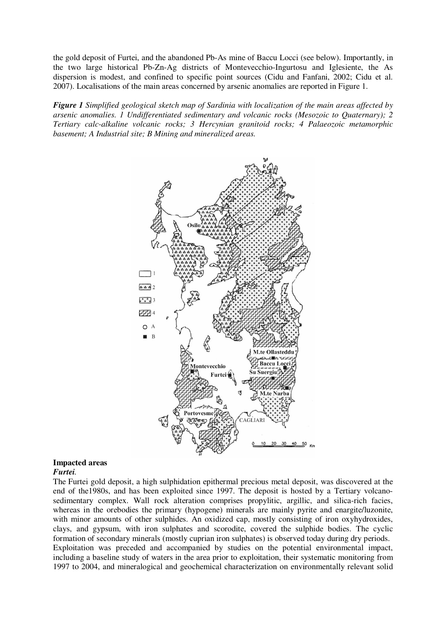the gold deposit of Furtei, and the abandoned Pb-As mine of Baccu Locci (see below). Importantly, in the two large historical Pb-Zn-Ag districts of Montevecchio-Ingurtosu and Iglesiente, the As dispersion is modest, and confined to specific point sources (Cidu and Fanfani, 2002; Cidu et al. 2007). Localisations of the main areas concerned by arsenic anomalies are reported in Figure 1.

*Figure 1 Simplified geological sketch map of Sardinia with localization of the main areas affected by arsenic anomalies. 1 Undifferentiated sedimentary and volcanic rocks (Mesozoic to Quaternary); 2 Tertiary calc-alkaline volcanic rocks; 3 Hercynian granitoid rocks; 4 Palaeozoic metamorphic basement; A Industrial site; B Mining and mineralized areas.* 



# **Impacted areas**

# *Furtei.*

The Furtei gold deposit, a high sulphidation epithermal precious metal deposit, was discovered at the end of the1980s, and has been exploited since 1997. The deposit is hosted by a Tertiary volcanosedimentary complex. Wall rock alteration comprises propylitic, argillic, and silica-rich facies, whereas in the orebodies the primary (hypogene) minerals are mainly pyrite and enargite/luzonite, with minor amounts of other sulphides. An oxidized cap, mostly consisting of iron oxyhydroxides, clays, and gypsum, with iron sulphates and scorodite, covered the sulphide bodies. The cyclic formation of secondary minerals (mostly cuprian iron sulphates) is observed today during dry periods. Exploitation was preceded and accompanied by studies on the potential environmental impact, including a baseline study of waters in the area prior to exploitation, their systematic monitoring from 1997 to 2004, and mineralogical and geochemical characterization on environmentally relevant solid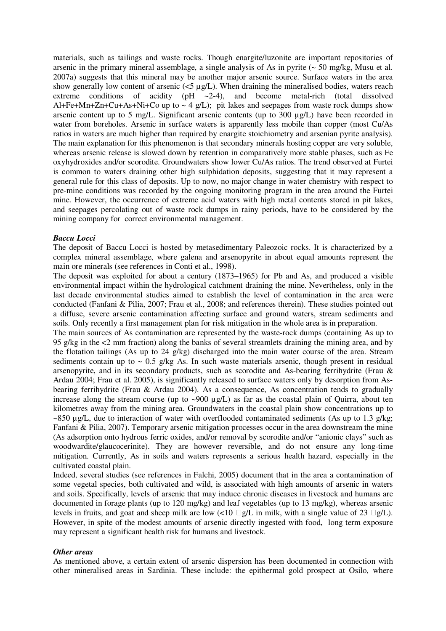materials, such as tailings and waste rocks. Though enargite/luzonite are important repositories of arsenic in the primary mineral assemblage, a single analysis of As in pyrite  $\sim$  50 mg/kg, Musu et al. 2007a) suggests that this mineral may be another major arsenic source. Surface waters in the area show generally low content of arsenic  $(\leq 5 \mu g/L)$ . When draining the mineralised bodies, waters reach extreme conditions of acidity  $(pH \sim 2-4)$ , and become metal-rich (total dissolved Al+Fe+Mn+Zn+Cu+As+Ni+Co up to  $\sim 4$  g/L); pit lakes and seepages from waste rock dumps show arsenic content up to 5 mg/L. Significant arsenic contents (up to 300 µg/L) have been recorded in water from boreholes. Arsenic in surface waters is apparently less mobile than copper (most Cu/As ratios in waters are much higher than required by enargite stoichiometry and arsenian pyrite analysis). The main explanation for this phenomenon is that secondary minerals hosting copper are very soluble, whereas arsenic release is slowed down by retention in comparatively more stable phases, such as Fe oxyhydroxides and/or scorodite. Groundwaters show lower Cu/As ratios. The trend observed at Furtei is common to waters draining other high sulphidation deposits, suggesting that it may represent a general rule for this class of deposits. Up to now, no major change in water chemistry with respect to pre-mine conditions was recorded by the ongoing monitoring program in the area around the Furtei mine. However, the occurrence of extreme acid waters with high metal contents stored in pit lakes, and seepages percolating out of waste rock dumps in rainy periods, have to be considered by the mining company for correct environmental management.

## *Baccu Locci*

The deposit of Baccu Locci is hosted by metasedimentary Paleozoic rocks. It is characterized by a complex mineral assemblage, where galena and arsenopyrite in about equal amounts represent the main ore minerals (see references in Conti et al., 1998).

The deposit was exploited for about a century (1873–1965) for Pb and As, and produced a visible environmental impact within the hydrological catchment draining the mine. Nevertheless, only in the last decade environmental studies aimed to establish the level of contamination in the area were conducted (Fanfani & Pilia, 2007; Frau et al., 2008; and references therein). These studies pointed out a diffuse, severe arsenic contamination affecting surface and ground waters, stream sediments and soils. Only recently a first management plan for risk mitigation in the whole area is in preparation.

The main sources of As contamination are represented by the waste-rock dumps (containing As up to 95 g/kg in the <2 mm fraction) along the banks of several streamlets draining the mining area, and by the flotation tailings (As up to 24  $g/kg$ ) discharged into the main water course of the area. Stream sediments contain up to  $\sim 0.5$  g/kg As. In such waste materials arsenic, though present in residual arsenopyrite, and in its secondary products, such as scorodite and As-bearing ferrihydrite (Frau & Ardau 2004; Frau et al. 2005), is significantly released to surface waters only by desorption from Asbearing ferrihydrite (Frau & Ardau 2004). As a consequence, As concentration tends to gradually increase along the stream course (up to ~900 µg/L) as far as the coastal plain of Quirra, about ten kilometres away from the mining area. Groundwaters in the coastal plain show concentrations up to  $\sim$ 850 µg/L, due to interaction of water with overflooded contaminated sediments (As up to 1.3 g/kg; Fanfani & Pilia, 2007). Temporary arsenic mitigation processes occur in the area downstream the mine (As adsorption onto hydrous ferric oxides, and/or removal by scorodite and/or "anionic clays" such as woodwardite/glaucocerinite). They are however reversible, and do not ensure any long-time mitigation. Currently, As in soils and waters represents a serious health hazard, especially in the cultivated coastal plain.

Indeed, several studies (see references in Falchi, 2005) document that in the area a contamination of some vegetal species, both cultivated and wild, is associated with high amounts of arsenic in waters and soils. Specifically, levels of arsenic that may induce chronic diseases in livestock and humans are documented in forage plants (up to 120 mg/kg) and leaf vegetables (up to 13 mg/kg), whereas arsenic levels in fruits, and goat and sheep milk are low  $\langle 10 \text{ g/L} \rangle$  in milk, with a single value of 23 g/L). However, in spite of the modest amounts of arsenic directly ingested with food, long term exposure may represent a significant health risk for humans and livestock.

## *Other areas*

As mentioned above, a certain extent of arsenic dispersion has been documented in connection with other mineralised areas in Sardinia. These include: the epithermal gold prospect at Osilo, where